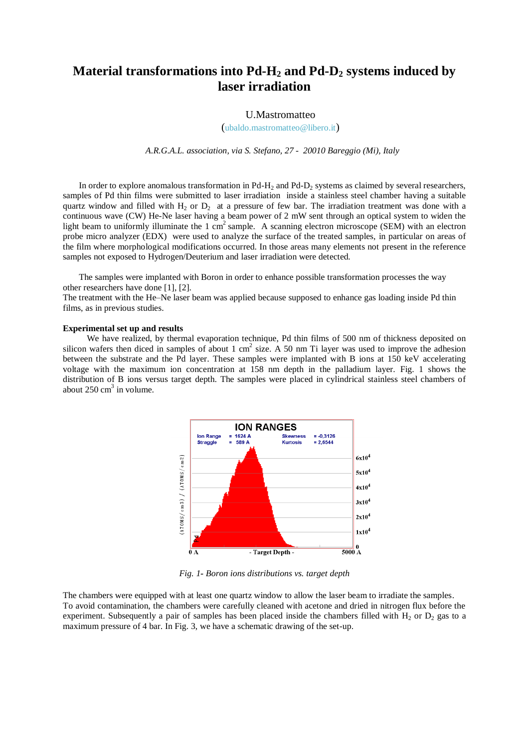# **Material transformations into Pd-H<sup>2</sup> and Pd-D<sup>2</sup> systems induced by laser irradiation**

## U.Mastromatteo

(ubaldo.mastromatteo@libero.it)

*A.R.G.A.L. association, via S. Stefano, 27 - 20010 Bareggio (Mi), Italy*

In order to explore anomalous transformation in  $Pd-H_2$  and  $Pd-D_2$  systems as claimed by several researchers, samples of Pd thin films were submitted to laser irradiation inside a stainless steel chamber having a suitable quartz window and filled with  $H_2$  or  $D_2$  at a pressure of few bar. The irradiation treatment was done with a continuous wave (CW) He-Ne laser having a beam power of 2 mW sent through an optical system to widen the light beam to uniformly illuminate the  $1 \text{ cm}^2$  sample. A scanning electron microscope (SEM) with an electron probe micro analyzer (EDX) were used to analyze the surface of the treated samples, in particular on areas of the film where morphological modifications occurred. In those areas many elements not present in the reference samples not exposed to Hydrogen/Deuterium and laser irradiation were detected.

The samples were implanted with Boron in order to enhance possible transformation processes the way other researchers have done [1], [2].

The treatment with the He–Ne laser beam was applied because supposed to enhance gas loading inside Pd thin films, as in previous studies.

#### **Experimental set up and results**

We have realized, by thermal evaporation technique, Pd thin films of 500 nm of thickness deposited on silicon wafers then diced in samples of about 1 cm<sup>2</sup> size. A 50 nm Ti layer was used to improve the adhesion between the substrate and the Pd layer. These samples were implanted with B ions at 150 keV accelerating voltage with the maximum ion concentration at 158 nm depth in the palladium layer. Fig. 1 shows the distribution of B ions versus target depth. The samples were placed in cylindrical stainless steel chambers of about  $250 \text{ cm}^3$  in volume.



*Fig. 1- Boron ions distributions vs. target depth*

The chambers were equipped with at least one quartz window to allow the laser beam to irradiate the samples. To avoid contamination, the chambers were carefully cleaned with acetone and dried in nitrogen flux before the experiment. Subsequently a pair of samples has been placed inside the chambers filled with  $H_2$  or  $D_2$  gas to a maximum pressure of 4 bar. In Fig. 3, we have a schematic drawing of the set-up.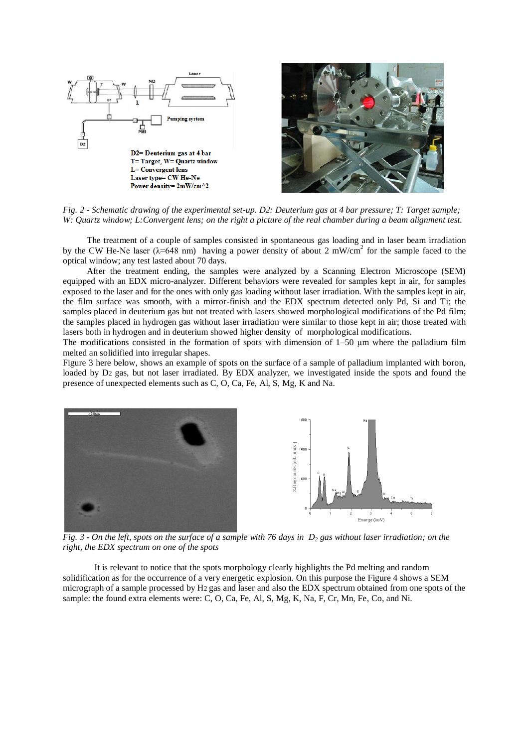



*Fig. 2 - Schematic drawing of the experimental set-up. D2: Deuterium gas at 4 bar pressure; T: Target sample; W: Quartz window; L:Convergent lens; on the right a picture of the real chamber during a beam alignment test.* 

The treatment of a couple of samples consisted in spontaneous gas loading and in laser beam irradiation by the CW He-Ne laser ( $\lambda$ =648 nm) having a power density of about 2 mW/cm<sup>2</sup> for the sample faced to the optical window; any test lasted about 70 days.

After the treatment ending, the samples were analyzed by a Scanning Electron Microscope (SEM) equipped with an EDX micro-analyzer. Different behaviors were revealed for samples kept in air, for samples exposed to the laser and for the ones with only gas loading without laser irradiation. With the samples kept in air, the film surface was smooth, with a mirror-finish and the EDX spectrum detected only Pd, Si and Ti; the samples placed in deuterium gas but not treated with lasers showed morphological modifications of the Pd film; the samples placed in hydrogen gas without laser irradiation were similar to those kept in air; those treated with lasers both in hydrogen and in deuterium showed higher density of morphological modifications.

The modifications consisted in the formation of spots with dimension of  $1-50 \mu m$  where the palladium film melted an solidified into irregular shapes.

Figure 3 here below, shows an example of spots on the surface of a sample of palladium implanted with boron, loaded by D2 gas, but not laser irradiated. By EDX analyzer, we investigated inside the spots and found the presence of unexpected elements such as C, O, Ca, Fe, Al, S, Mg, K and Na.



*Fig. 3 - On the left, spots on the surface of a sample with 76 days in D<sup>2</sup> gas without laser irradiation; on the right, the EDX spectrum on one of the spots*

It is relevant to notice that the spots morphology clearly highlights the Pd melting and random solidification as for the occurrence of a very energetic explosion. On this purpose the Figure 4 shows a SEM micrograph of a sample processed by H2 gas and laser and also the EDX spectrum obtained from one spots of the sample: the found extra elements were: C, O, Ca, Fe, Al, S, Mg, K, Na, F, Cr, Mn, Fe, Co, and Ni.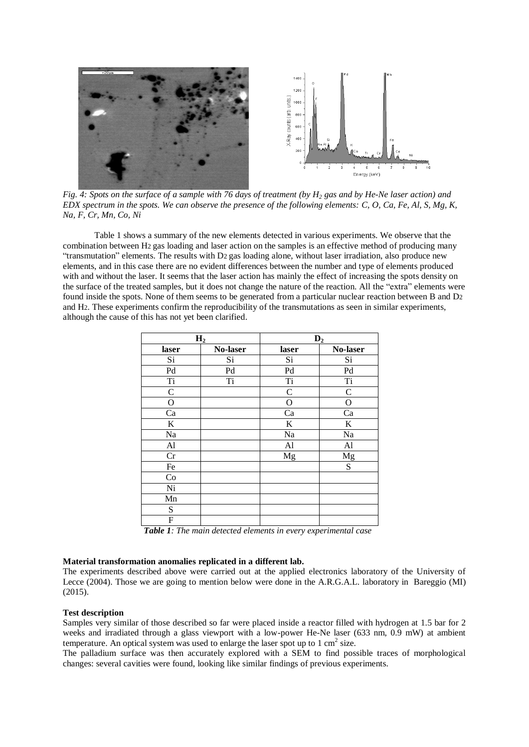

*Fig. 4: Spots on the surface of a sample with 76 days of treatment (by H<sup>2</sup> gas and by He-Ne laser action) and EDX spectrum in the spots. We can observe the presence of the following elements: C, O, Ca, Fe, Al, S, Mg, K, Na, F, Cr, Mn, Co, Ni*

Table 1 shows a summary of the new elements detected in various experiments. We observe that the combination between H2 gas loading and laser action on the samples is an effective method of producing many "transmutation" elements. The results with D2 gas loading alone, without laser irradiation, also produce new elements, and in this case there are no evident differences between the number and type of elements produced with and without the laser. It seems that the laser action has mainly the effect of increasing the spots density on the surface of the treated samples, but it does not change the nature of the reaction. All the "extra" elements were found inside the spots. None of them seems to be generated from a particular nuclear reaction between B and D2 and H2. These experiments confirm the reproducibility of the transmutations as seen in similar experiments, although the cause of this has not yet been clarified.

| H <sub>2</sub> |          | D <sub>2</sub> |             |
|----------------|----------|----------------|-------------|
| laser          | No-laser | laser          | No-laser    |
| Si             | Si       | Si             | Si          |
| Pd             | Pd       | Pd             | Pd          |
| Ti             | Ti       | Ti             | Ti          |
| $\mathsf{C}$   |          | $\mathsf{C}$   | C           |
| О              |          | О              | O           |
| Ca             |          | Ca             | Ca          |
| K              |          | $\bf K$        | $\mathbf K$ |
| Na             |          | Na             | Na          |
| Al             |          | Al             | Al          |
| Cr             |          | Mg             | Mg          |
| Fe             |          |                | S           |
| Co             |          |                |             |
| Ni             |          |                |             |
| Mn             |          |                |             |
| S              |          |                |             |
| F              |          |                |             |

 *Table 1: The main detected elements in every experimental case*

## **Material transformation anomalies replicated in a different lab.**

The experiments described above were carried out at the applied electronics laboratory of the University of Lecce (2004). Those we are going to mention below were done in the A.R.G.A.L. laboratory in Bareggio (MI) (2015).

### **Test description**

Samples very similar of those described so far were placed inside a reactor filled with hydrogen at 1.5 bar for 2 weeks and irradiated through a glass viewport with a low-power He-Ne laser (633 nm, 0.9 mW) at ambient temperature. An optical system was used to enlarge the laser spot up to  $1 \text{ cm}^2$  size.

The palladium surface was then accurately explored with a SEM to find possible traces of morphological changes: several cavities were found, looking like similar findings of previous experiments.